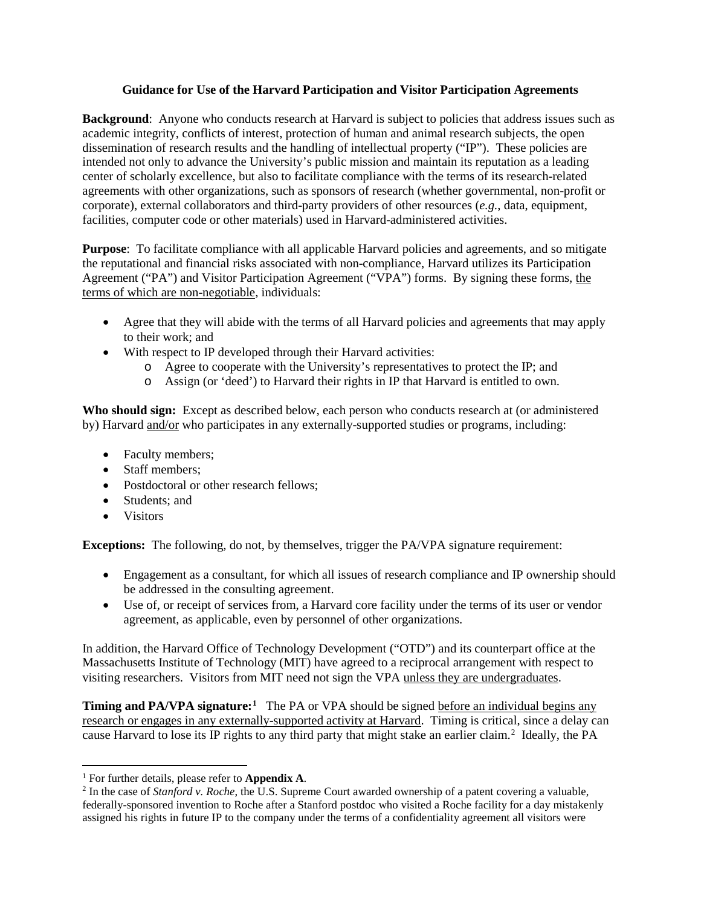## **Guidance for Use of the Harvard Participation and Visitor Participation Agreements**

**Background:** Anyone who conducts research at Harvard is subject to policies that address issues such as academic integrity, conflicts of interest, protection of human and animal research subjects, the open dissemination of research results and the handling of intellectual property ("IP"). These policies are intended not only to advance the University's public mission and maintain its reputation as a leading center of scholarly excellence, but also to facilitate compliance with the terms of its research-related agreements with other organizations, such as sponsors of research (whether governmental, non-profit or corporate), external collaborators and third-party providers of other resources (*e.g.*, data, equipment, facilities, computer code or other materials) used in Harvard-administered activities.

**Purpose**: To facilitate compliance with all applicable Harvard policies and agreements, and so mitigate the reputational and financial risks associated with non-compliance, Harvard utilizes its Participation Agreement ("PA") and Visitor Participation Agreement ("VPA") forms. By signing these forms, the terms of which are non-negotiable, individuals:

- Agree that they will abide with the terms of all Harvard policies and agreements that may apply to their work; and
- With respect to IP developed through their Harvard activities:
	- o Agree to cooperate with the University's representatives to protect the IP; and
	- o Assign (or 'deed') to Harvard their rights in IP that Harvard is entitled to own.

**Who should sign:** Except as described below, each person who conducts research at (or administered by) Harvard and/or who participates in any externally-supported studies or programs, including:

- Faculty members:
- Staff members:
- Postdoctoral or other research fellows;
- Students; and
- Visitors

l

**Exceptions:** The following, do not, by themselves, trigger the PA/VPA signature requirement:

- Engagement as a consultant, for which all issues of research compliance and IP ownership should be addressed in the consulting agreement.
- Use of, or receipt of services from, a Harvard core facility under the terms of its user or vendor agreement, as applicable, even by personnel of other organizations.

In addition, the Harvard Office of Technology Development ("OTD") and its counterpart office at the Massachusetts Institute of Technology (MIT) have agreed to a reciprocal arrangement with respect to visiting researchers. Visitors from MIT need not sign the VPA unless they are undergraduates.

**Timing and PA/VPA signature:**<sup>[1](#page-0-0)</sup> The PA or VPA should be signed before an individual begins any research or engages in any externally-supported activity at Harvard. Timing is critical, since a delay can cause Harvard to lose its IP rights to any third party that might stake an earlier claim.<sup>[2](#page-0-1)</sup> Ideally, the PA

<span id="page-0-0"></span><sup>1</sup> For further details, please refer to **Appendix A**.

<span id="page-0-1"></span><sup>&</sup>lt;sup>2</sup> In the case of *Stanford v. Roche*, the U.S. Supreme Court awarded ownership of a patent covering a valuable, federally-sponsored invention to Roche after a Stanford postdoc who visited a Roche facility for a day mistakenly assigned his rights in future IP to the company under the terms of a confidentiality agreement all visitors were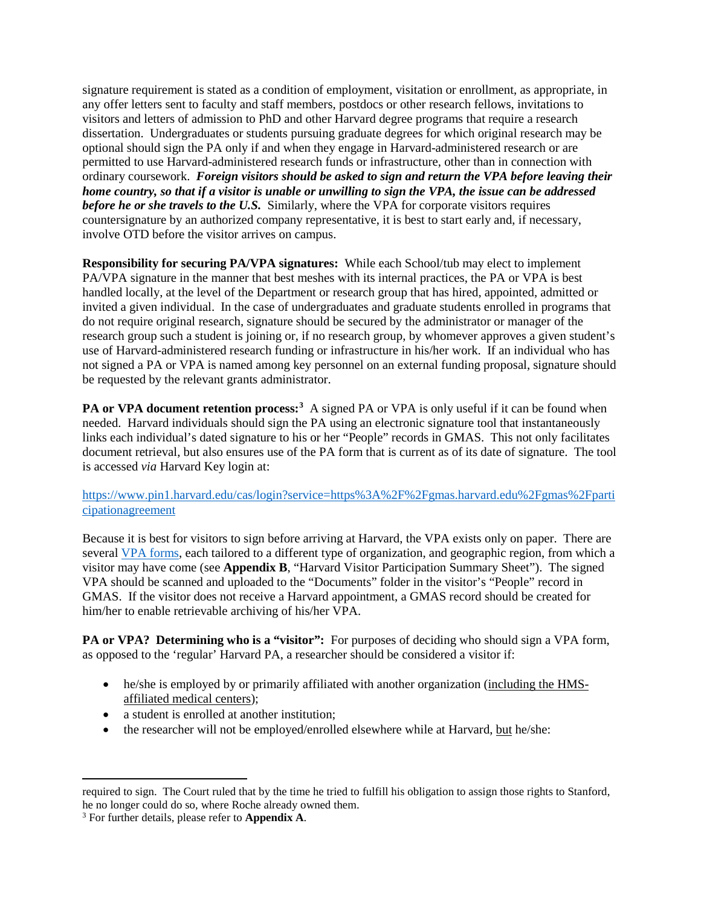signature requirement is stated as a condition of employment, visitation or enrollment, as appropriate, in any offer letters sent to faculty and staff members, postdocs or other research fellows, invitations to visitors and letters of admission to PhD and other Harvard degree programs that require a research dissertation. Undergraduates or students pursuing graduate degrees for which original research may be optional should sign the PA only if and when they engage in Harvard-administered research or are permitted to use Harvard-administered research funds or infrastructure, other than in connection with ordinary coursework. *Foreign visitors should be asked to sign and return the VPA before leaving their home country, so that if a visitor is unable or unwilling to sign the VPA, the issue can be addressed before he or she travels to the U.S.* Similarly, where the VPA for corporate visitors requires countersignature by an authorized company representative, it is best to start early and, if necessary, involve OTD before the visitor arrives on campus.

**Responsibility for securing PA/VPA signatures:** While each School/tub may elect to implement PA/VPA signature in the manner that best meshes with its internal practices, the PA or VPA is best handled locally, at the level of the Department or research group that has hired, appointed, admitted or invited a given individual. In the case of undergraduates and graduate students enrolled in programs that do not require original research, signature should be secured by the administrator or manager of the research group such a student is joining or, if no research group, by whomever approves a given student's use of Harvard-administered research funding or infrastructure in his/her work. If an individual who has not signed a PA or VPA is named among key personnel on an external funding proposal, signature should be requested by the relevant grants administrator.

**PA or VPA document retention process:<sup>[3](#page-1-0)</sup>** A signed PA or VPA is only useful if it can be found when needed. Harvard individuals should sign the PA using an electronic signature tool that instantaneously links each individual's dated signature to his or her "People" records in GMAS. This not only facilitates document retrieval, but also ensures use of the PA form that is current as of its date of signature. The tool is accessed *via* Harvard Key login at:

## [https://www.pin1.harvard.edu/cas/login?service=https%3A%2F%2Fgmas.harvard.edu%2Fgmas%2Fparti](https://www.pin1.harvard.edu/cas/login?service=https%3A%2F%2Fgmas.harvard.edu%2Fgmas%2Fparticipationagreement) [cipationagreement](https://www.pin1.harvard.edu/cas/login?service=https%3A%2F%2Fgmas.harvard.edu%2Fgmas%2Fparticipationagreement)

Because it is best for visitors to sign before arriving at Harvard, the VPA exists only on paper. There are several [VPA forms,](https://vpr.harvard.edu/visitor-participation-agreements) each tailored to a different type of organization, and geographic region, from which a visitor may have come (see **Appendix B**, "Harvard Visitor Participation Summary Sheet"). The signed VPA should be scanned and uploaded to the "Documents" folder in the visitor's "People" record in GMAS. If the visitor does not receive a Harvard appointment, a GMAS record should be created for him/her to enable retrievable archiving of his/her VPA.

**PA** or VPA? Determining who is a "visitor": For purposes of deciding who should sign a VPA form, as opposed to the 'regular' Harvard PA, a researcher should be considered a visitor if:

- he/she is employed by or primarily affiliated with another organization (including the HMSaffiliated medical centers);
- a student is enrolled at another institution:
- the researcher will not be employed/enrolled elsewhere while at Harvard, but he/she:

 $\overline{\phantom{a}}$ 

required to sign. The Court ruled that by the time he tried to fulfill his obligation to assign those rights to Stanford, he no longer could do so, where Roche already owned them. 3 For further details, please refer to **Appendix A**.

<span id="page-1-0"></span>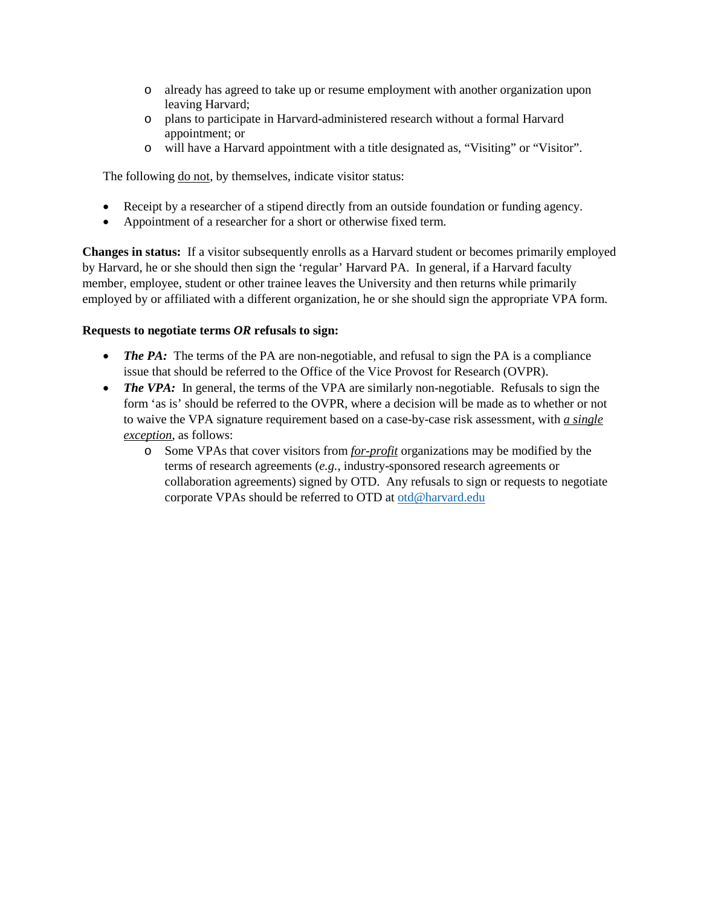- o already has agreed to take up or resume employment with another organization upon leaving Harvard;
- o plans to participate in Harvard-administered research without a formal Harvard appointment; or
- o will have a Harvard appointment with a title designated as, "Visiting" or "Visitor".

The following do not, by themselves, indicate visitor status:

- Receipt by a researcher of a stipend directly from an outside foundation or funding agency.
- Appointment of a researcher for a short or otherwise fixed term.

**Changes in status:** If a visitor subsequently enrolls as a Harvard student or becomes primarily employed by Harvard, he or she should then sign the 'regular' Harvard PA. In general, if a Harvard faculty member, employee, student or other trainee leaves the University and then returns while primarily employed by or affiliated with a different organization, he or she should sign the appropriate VPA form.

## **Requests to negotiate terms** *OR* **refusals to sign:**

- *The PA:* The terms of the PA are non-negotiable, and refusal to sign the PA is a compliance issue that should be referred to the Office of the Vice Provost for Research (OVPR).
- *The VPA*: In general, the terms of the VPA are similarly non-negotiable. Refusals to sign the form 'as is' should be referred to the OVPR, where a decision will be made as to whether or not to waive the VPA signature requirement based on a case-by-case risk assessment, with *a single exception*, as follows:
	- o Some VPAs that cover visitors from *for-profit* organizations may be modified by the terms of research agreements (*e.g.*, industry-sponsored research agreements or collaboration agreements) signed by OTD. Any refusals to sign or requests to negotiate corporate VPAs should be referred to OTD at [otd@harvard.edu](mailto:otd@harvard.edu)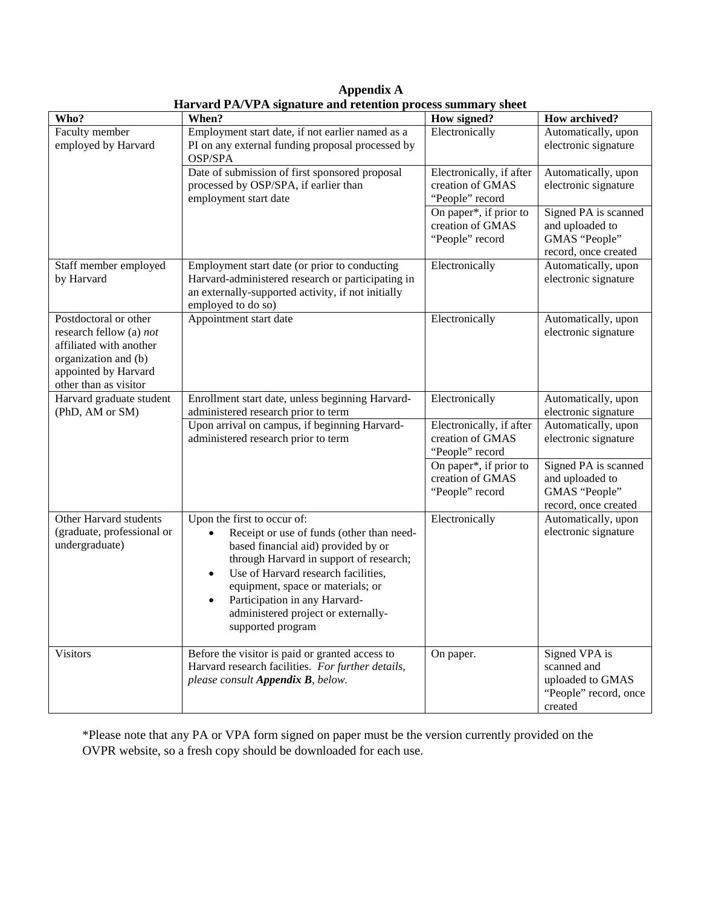Who? **All a When? How signed? How signed? How archived?** Faculty member employed by Harvard Employment start date, if not earlier named as a PI on any external funding proposal processed by OSP/SPA Electronically **Automatically**, upon electronic signature Date of submission of first sponsored proposal processed by OSP/SPA, if earlier than employment start date Electronically, if after creation of GMAS "People" record Automatically, upon electronic signature On paper\*, if prior to creation of GMAS "People" record Signed PA is scanned and uploaded to GMAS "People" record, once created Staff member employed by Harvard Employment start date (or prior to conducting Harvard-administered research or participating in an externally-supported activity, if not initially employed to do so) Electronically Automatically, upon electronic signature Postdoctoral or other research fellow (a) *not* affiliated with another organization and (b) appointed by Harvard other than as visitor Appointment start date Electronically Automatically, upon electronic signature Harvard graduate student (PhD, AM or SM) Enrollment start date, unless beginning Harvardadministered research prior to term Electronically Automatically, upon electronic signature Upon arrival on campus, if beginning Harvardadministered research prior to term Electronically, if after creation of GMAS "People" record Automatically, upon electronic signature On paper\*, if prior to creation of GMAS "People" record Signed PA is scanned and uploaded to GMAS "People" record, once created Other Harvard students (graduate, professional or undergraduate) Upon the first to occur of: • Receipt or use of funds (other than needbased financial aid) provided by or through Harvard in support of research; Use of Harvard research facilities, equipment, space or materials; or Participation in any Harvardadministered project or externallysupported program Electronically **Automatically**, upon electronic signature Visitors Before the visitor is paid or granted access to Harvard research facilities. *For further details, please consult Appendix B, below.* On paper. Signed VPA is scanned and uploaded to GMAS "People" record, once created

**Appendix A Harvard PA/VPA signature and retention process summary sheet**

\*Please note that any PA or VPA form signed on paper must be the version currently provided on the OVPR website, so a fresh copy should be downloaded for each use.